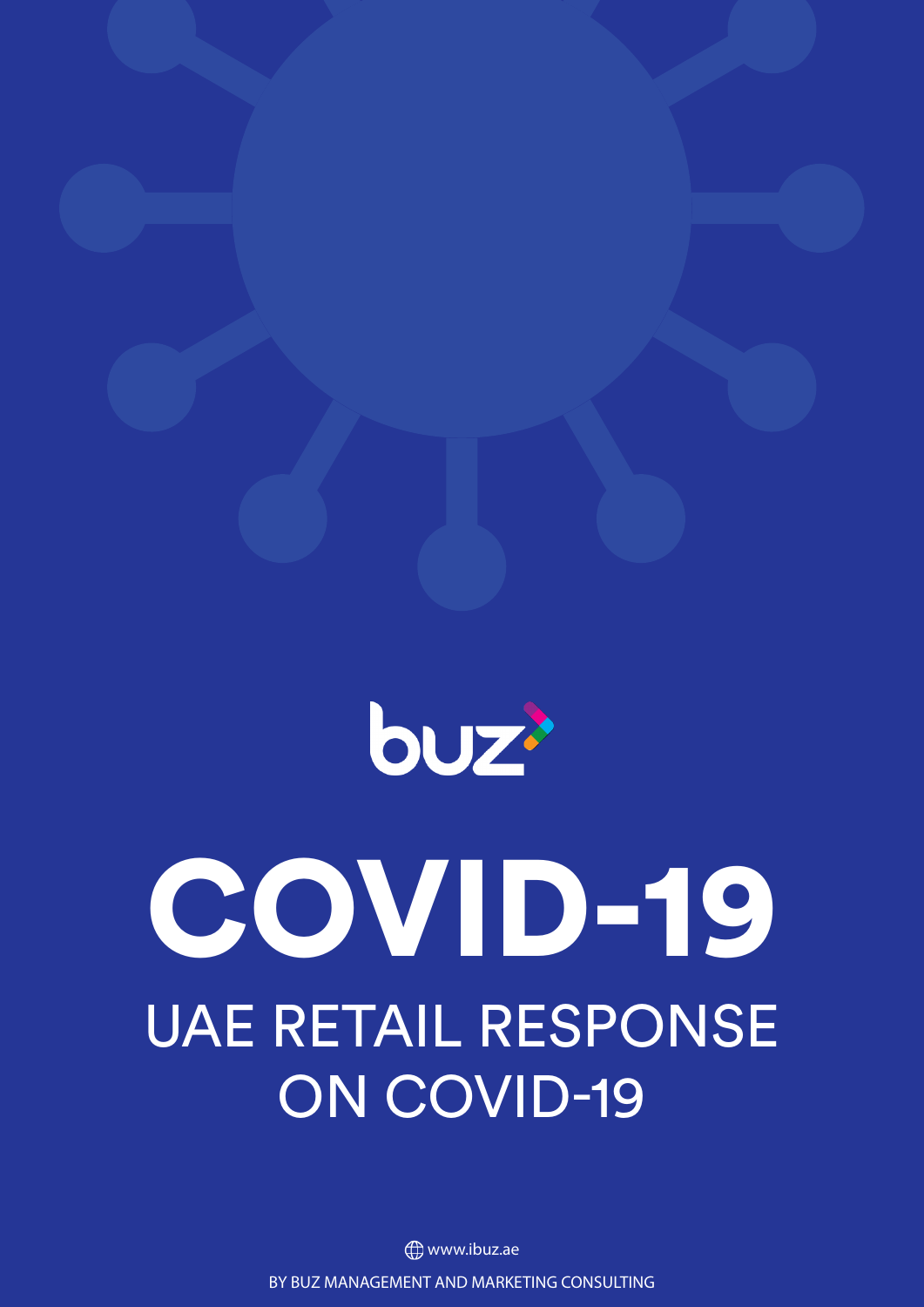

# COVID-19 UAE RETAIL RESPONSE ON COVID-19

BY BUZ MANAGEMENT AND MARKETING CONSULTING **<sup>(</sup>)** www.ibuz.ae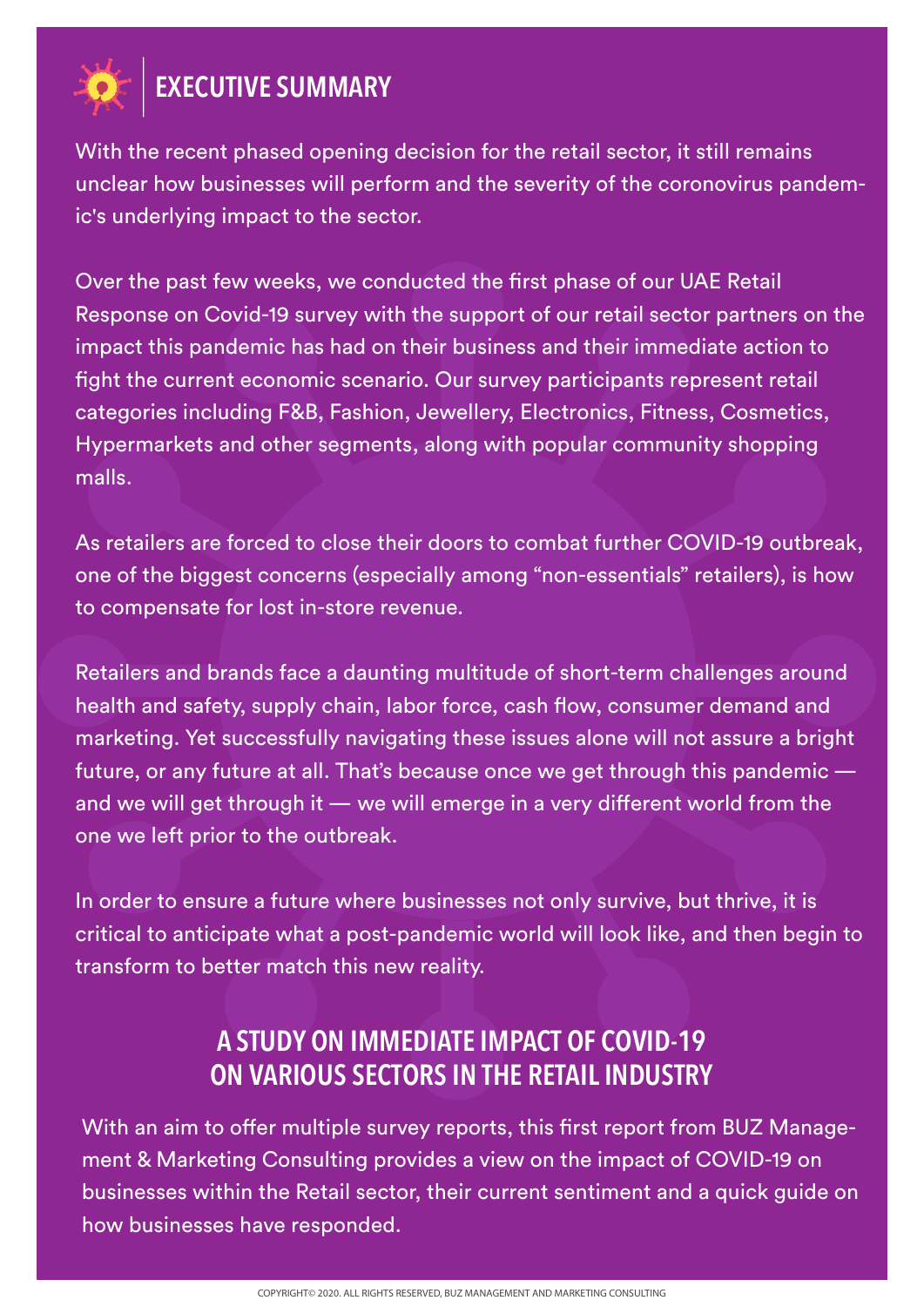

#### **EXECUTIVE SUMMARY**

With the recent phased opening decision for the retail sector, it still remains unclear how businesses will perform and the severity of the coronovirus pandemic's underlying impact to the sector.

Over the past few weeks, we conducted the first phase of our UAE Retail Response on Covid-19 survey with the support of our retail sector partners on the impact this pandemic has had on their business and their immediate action to fight the current economic scenario. Our survey participants represent retail categories including F&B, Fashion, Jewellery, Electronics, Fitness, Cosmetics, Hypermarkets and other segments, along with popular community shopping malls.

As retailers are forced to close their doors to combat further COVID-19 outbreak, one of the biggest concerns (especially among "non-essentials" retailers), is how to compensate for lost in-store revenue.

Retailers and brands face a daunting multitude of short-term challenges around health and safety, supply chain, labor force, cash flow, consumer demand and marketing. Yet successfully navigating these issues alone will not assure a bright future, or any future at all. That's because once we get through this pandemic and we will get through it  $-$  we will emerge in a very different world from the one we left prior to the outbreak.

In order to ensure a future where businesses not only survive, but thrive, it is critical to anticipate what a post-pandemic world will look like, and then begin to transform to better match this new reality.

#### **A STUDY ON IMMEDIATE IMPACT OF COVID-19 ON VARIOUS SECTORS IN THE RETAIL INDUSTRY**

With an aim to offer multiple survey reports, this first report from BUZ Management & Marketing Consulting provides a view on the impact of COVID-19 on businesses within the Retail sector, their current sentiment and a quick guide on how businesses have responded.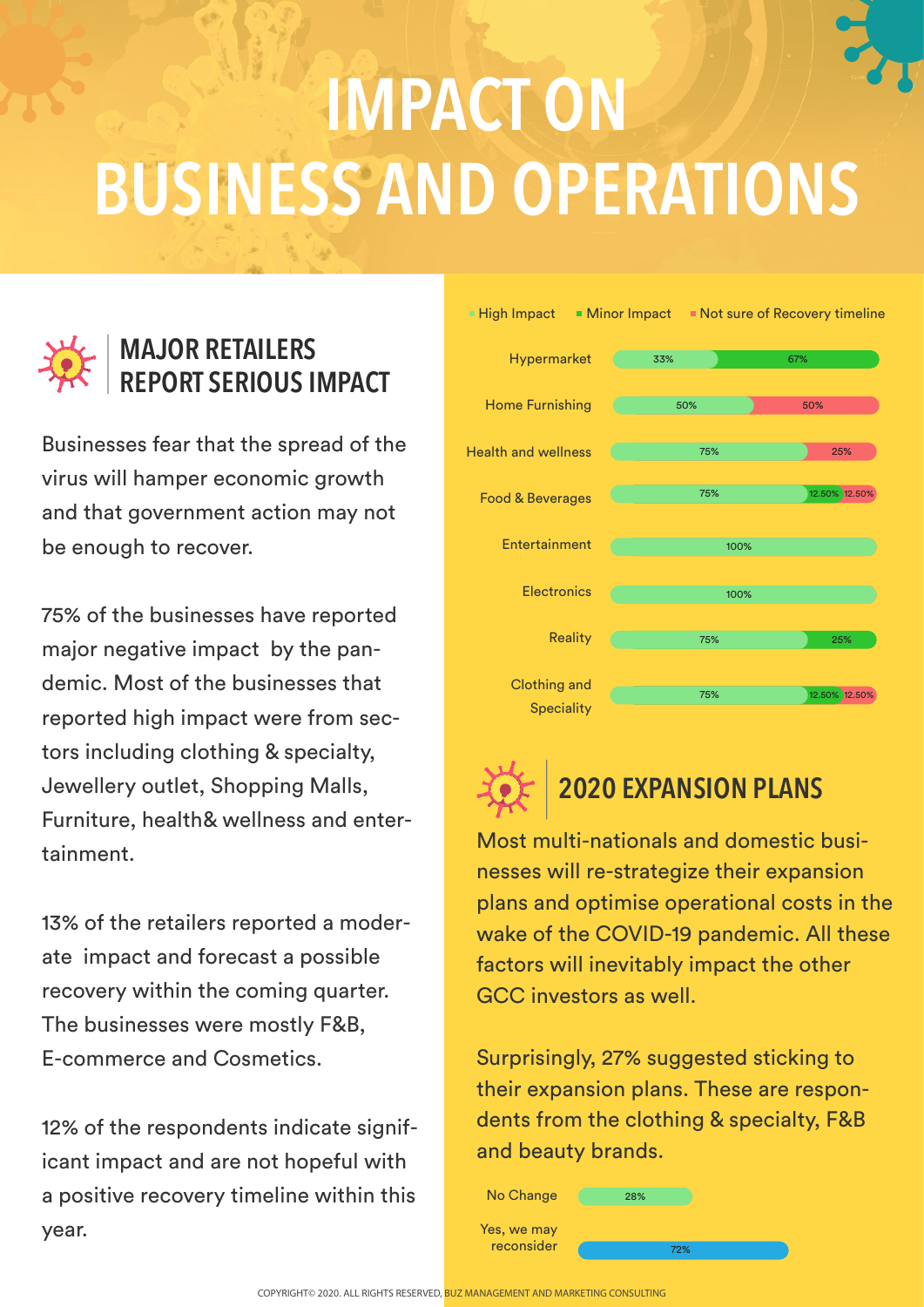## **IMPACT ON BUSINESS AND OPERATIONS**



Businesses fear that the spread of the virus will hamper economic growth and that government action may not be enough to recover.

75% of the businesses have reported major negative impact by the pandemic. Most of the businesses that reported high impact were from sectors including clothing & specialty, Jewellery outlet, Shopping Malls, Furniture, health& wellness and entertainment.

13% of the retailers reported a moderate impact and forecast a possible recovery within the coming quarter. The businesses were mostly F&B, E-commerce and Cosmetics.

12% of the respondents indicate significant impact and are not hopeful with a positive recovery timeline within this year.





#### **2020 EXPANSION PLANS**

Most multi-nationals and domestic businesses will re-strategize their expansion plans and optimise operational costs in the wake of the COVID-19 pandemic. All these factors will inevitably impact the other GCC investors as well.

Surprisingly, 27% suggested sticking to their expansion plans. These are respondents from the clothing & specialty, F&B and beauty brands.

| No Change   | 28% |     |
|-------------|-----|-----|
| Yes, we may |     |     |
| reconsider  |     | 72% |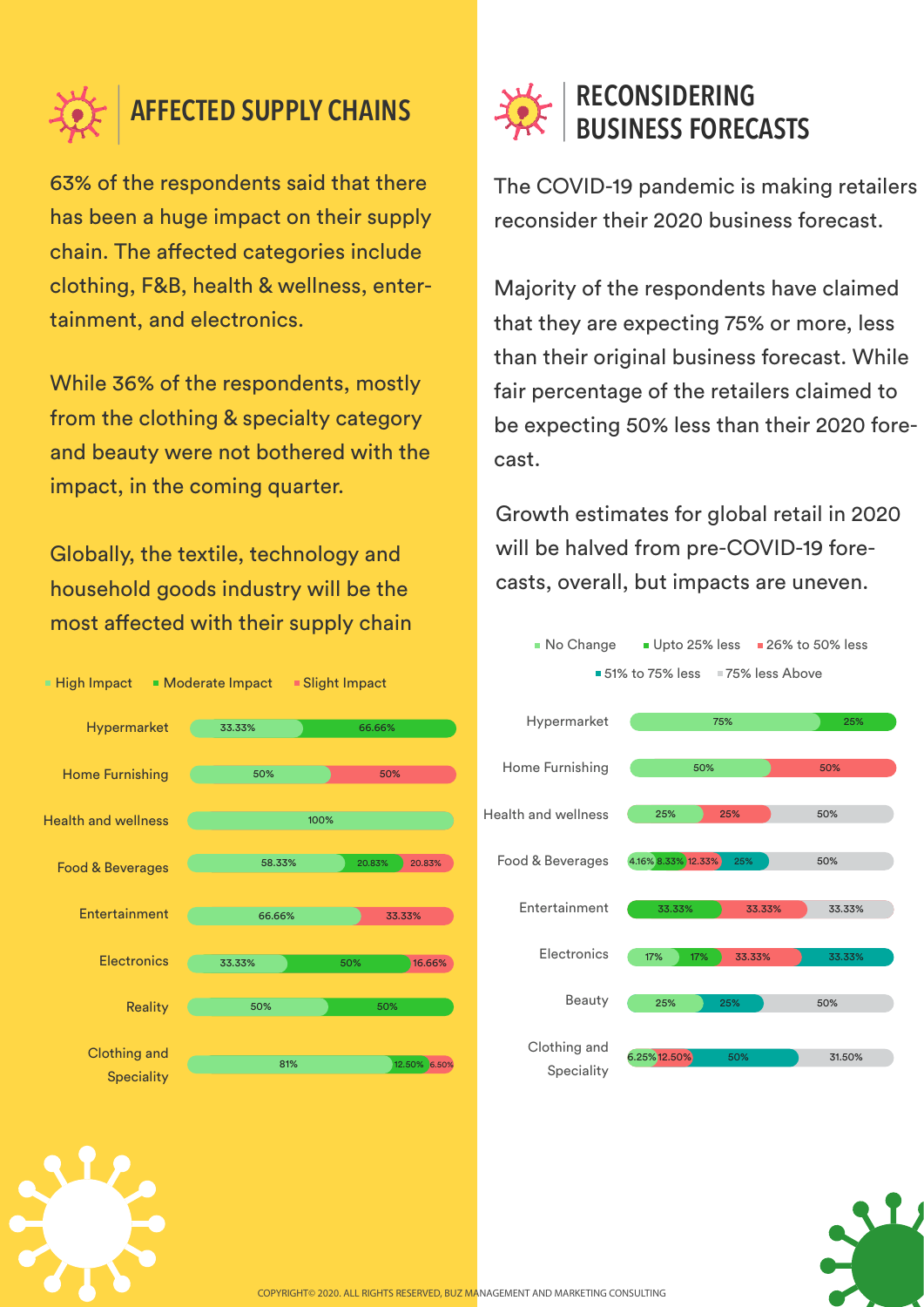

#### **AFFECTED SUPPLY CHAINS**

63% of the respondents said that there has been a huge impact on their supply chain. The affected categories include clothing, F&B, health & wellness, entertainment, and electronics.

While 36% of the respondents, mostly from the clothing & specialty category and beauty were not bothered with the impact, in the coming quarter.

Globally, the textile, technology and household goods industry will be the most affected with their supply chain





The COVID-19 pandemic is making retailers reconsider their 2020 business forecast.

Majority of the respondents have claimed that they are expecting 75% or more, less than their original business forecast. While fair percentage of the retailers claimed to be expecting 50% less than their 2020 forecast.

Growth estimates for global retail in 2020 will be halved from pre-COVID-19 forecasts, overall, but impacts are uneven.



Clothing and Speciality 6.25%12.50% 50% 31.50%

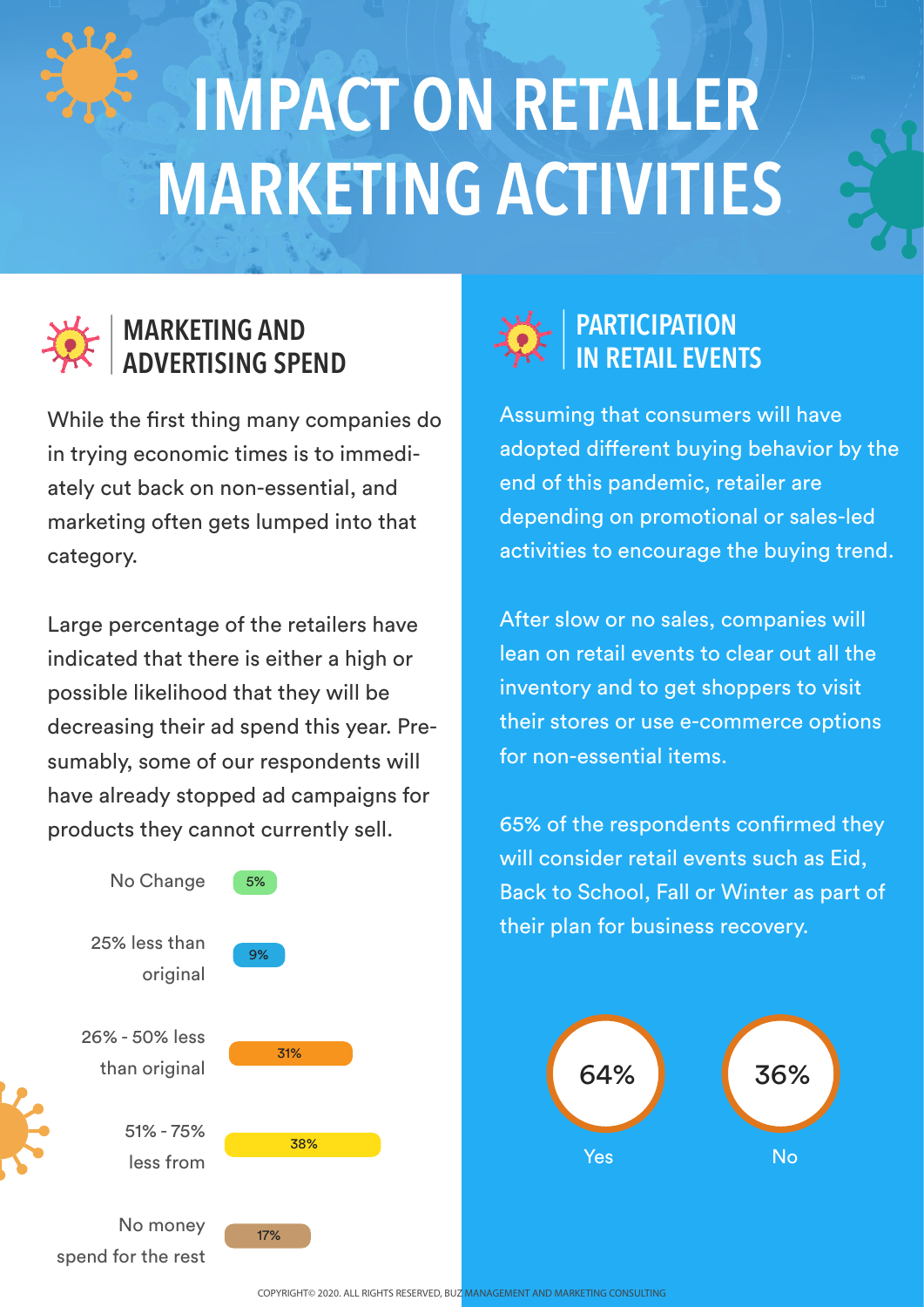# **IMPACT ON RETAILER MARKETING ACTIVITIES**



#### **MARKETING AND ADVERTISING SPEND**

While the first thing many companies do in trying economic times is to immediately cut back on non-essential, and marketing often gets lumped into that category.

Large percentage of the retailers have indicated that there is either a high or possible likelihood that they will be decreasing their ad spend this year. Presumably, some of our respondents will have already stopped ad campaigns for products they cannot currently sell.





Assuming that consumers will have adopted different buying behavior by the end of this pandemic, retailer are depending on promotional or sales-led activities to encourage the buying trend.

After slow or no sales, companies will lean on retail events to clear out all the inventory and to get shoppers to visit their stores or use e-commerce options for non-essential items.

65% of the respondents confirmed they will consider retail events such as Eid, Back to School, Fall or Winter as part of their plan for business recovery.



COPYRIGHT© 2020. ALL RIGHTS RESERVED, BUZ MANAGEMENT AND MARKETING CONSULTING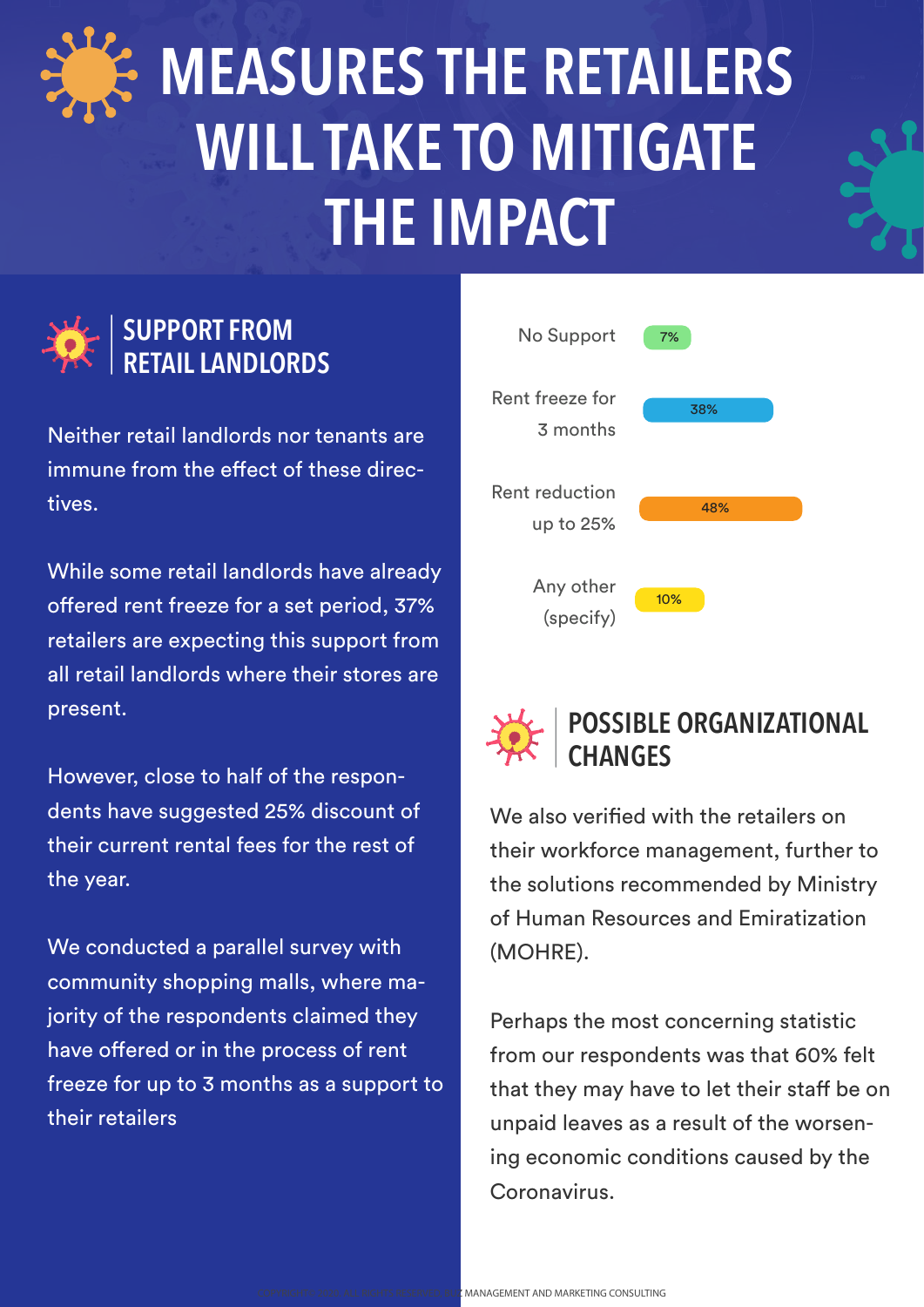

## **MEASURES THE RETAILERS WILL TAKE TO MITIGATE THE IMPACT**



#### **SUPPORT FROM RETAIL LANDLORDS**

Neither retail landlords nor tenants are immune from the effect of these directives.

While some retail landlords have already offered rent freeze for a set period, 37% retailers are expecting this support from all retail landlords where their stores are present.

However, close to half of the respondents have suggested 25% discount of their current rental fees for the rest of the year.

We conducted a parallel survey with community shopping malls, where majority of the respondents claimed they have offered or in the process of rent freeze for up to 3 months as a support to their retailers





#### **POSSIBLE ORGANIZATIONAL CHANGES**

We also verified with the retailers on their workforce management, further to the solutions recommended by Ministry of Human Resources and Emiratization (MOHRE).

Perhaps the most concerning statistic from our respondents was that 60% felt that they may have to let their staff be on unpaid leaves as a result of the worsening economic conditions caused by the Coronavirus.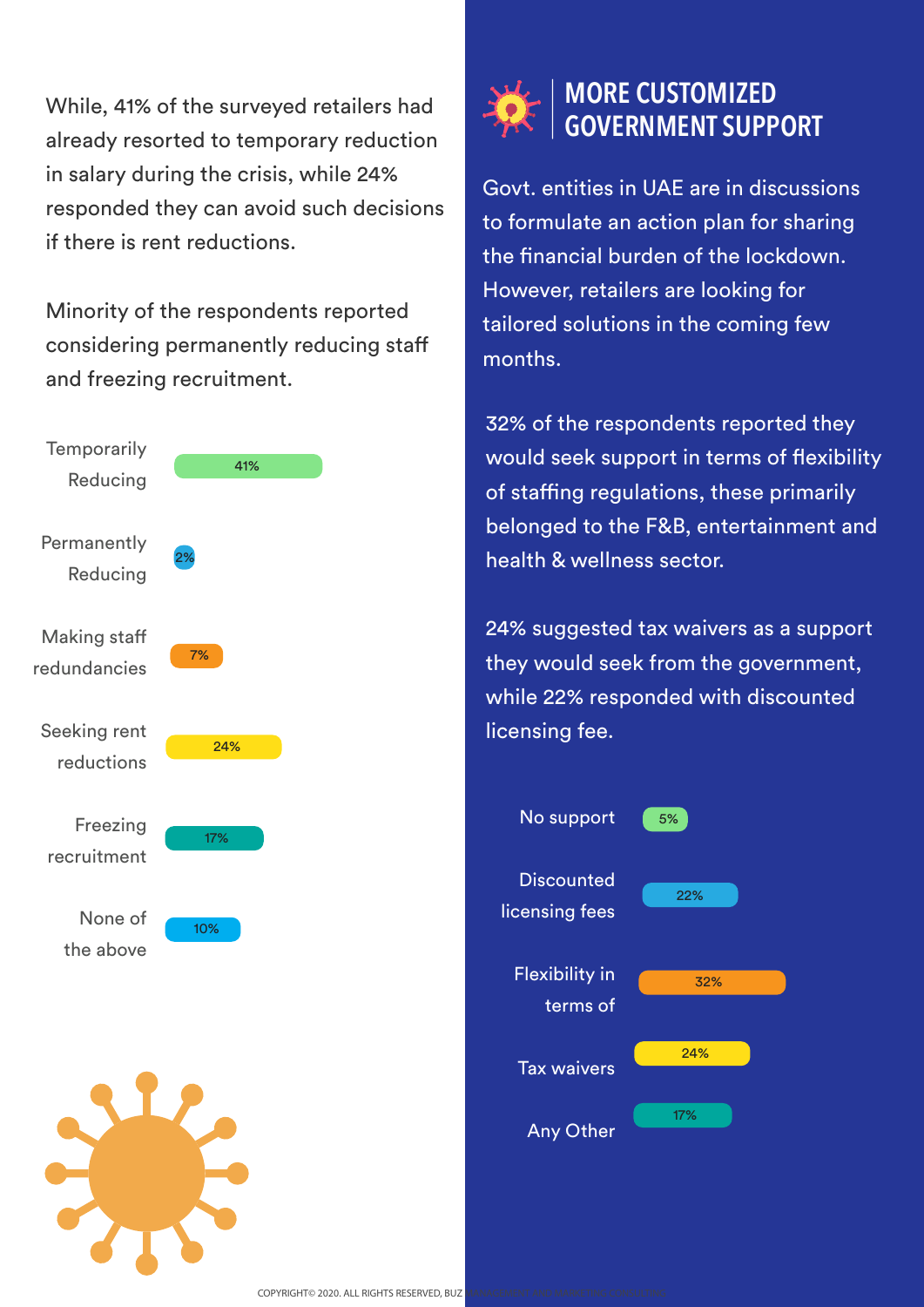While, 41% of the surveyed retailers had already resorted to temporary reduction in salary during the crisis, while 24% responded they can avoid such decisions if there is rent reductions.

Minority of the respondents reported considering permanently reducing sta and freezing recruitment.





#### **MORE CUSTOMIZED GOVERNMENT SUPPORT**

Govt. entities in UAE are in discussions to formulate an action plan for sharing the financial burden of the lockdown. However, retailers are looking for tailored solutions in the coming few months.

32% of the respondents reported they would seek support in terms of flexibility of staffing regulations, these primarily belonged to the F&B, entertainment and health & wellness sector.

24% suggested tax waivers as a support they would seek from the government, while 22% responded with discounted licensing fee.

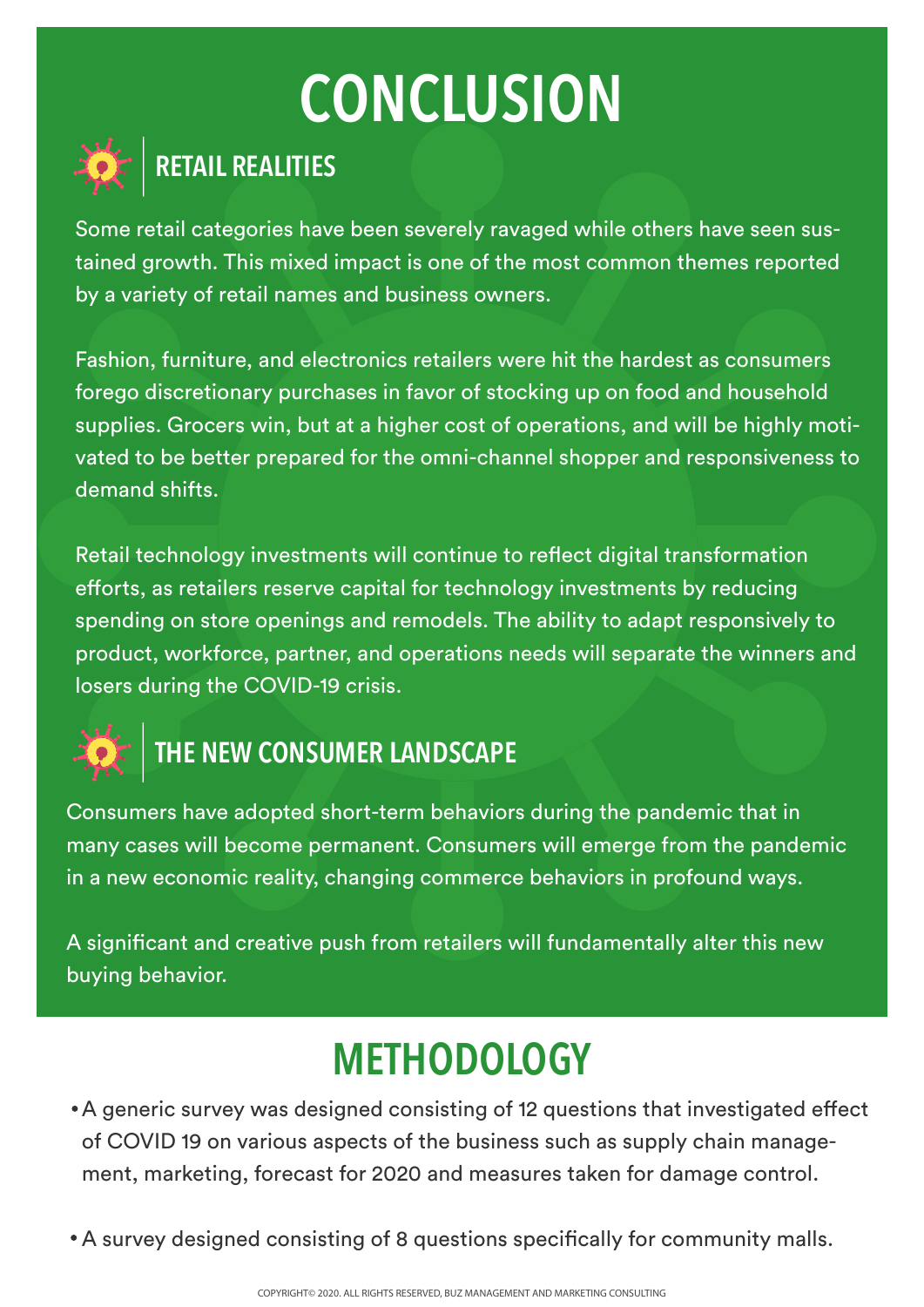### **CONCLUSION**



#### **RETAIL REALITIES**

Some retail categories have been severely ravaged while others have seen sustained growth. This mixed impact is one of the most common themes reported by a variety of retail names and business owners.

Fashion, furniture, and electronics retailers were hit the hardest as consumers forego discretionary purchases in favor of stocking up on food and household supplies. Grocers win, but at a higher cost of operations, and will be highly motivated to be better prepared for the omni-channel shopper and responsiveness to demand shifts.

Retail technology investments will continue to reflect digital transformation efforts, as retailers reserve capital for technology investments by reducing spending on store openings and remodels. The ability to adapt responsively to product, workforce, partner, and operations needs will separate the winners and losers during the COVID-19 crisis.



### **THE NEW CONSUMER LANDSCAPE**

Consumers have adopted short-term behaviors during the pandemic that in many cases will become permanent. Consumers will emerge from the pandemic in a new economic reality, changing commerce behaviors in profound ways.

A significant and creative push from retailers will fundamentally alter this new buying behavior.

### **METHODOLOGY**

- A generic survey was designed consisting of 12 questions that investigated effect of COVID 19 on various aspects of the business such as supply chain management, marketing, forecast for 2020 and measures taken for damage control.
- A survey designed consisting of 8 questions specifically for community malls.